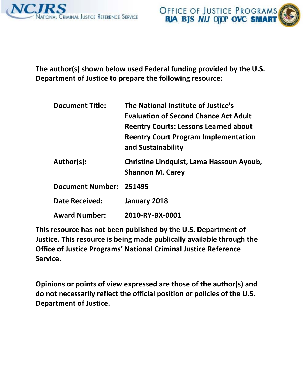



**The author(s) shown below used Federal funding provided by the U.S. Department of Justice to prepare the following resource:**

| <b>Document Title:</b>  | The National Institute of Justice's                                 |
|-------------------------|---------------------------------------------------------------------|
|                         | <b>Evaluation of Second Chance Act Adult</b>                        |
|                         | <b>Reentry Courts: Lessons Learned about</b>                        |
|                         | <b>Reentry Court Program Implementation</b><br>and Sustainability   |
| Author(s):              | Christine Lindquist, Lama Hassoun Ayoub,<br><b>Shannon M. Carey</b> |
| Document Number: 251495 |                                                                     |
| <b>Date Received:</b>   | January 2018                                                        |
| <b>Award Number:</b>    | 2010-RY-BX-0001                                                     |

**This resource has not been published by the U.S. Department of Justice. This resource is being made publically available through the Office of Justice Programs' National Criminal Justice Reference Service.**

**Opinions or points of view expressed are those of the author(s) and do not necessarily reflect the official position or policies of the U.S. Department of Justice.**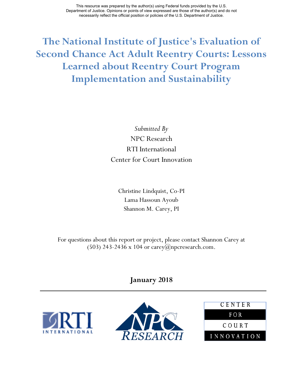**The National Institute of Justice's Evaluation of Second Chance Act Adult Reentry Courts: Lessons Learned about Reentry Court Program Implementation and Sustainability**

> *Submitted By* NPC Research RTI International Center for Court Innovation

Christine Lindquist, Co-PI Lama Hassoun Ayoub Shannon M. Carey, PI

For questions about this report or project, please contact Shannon Carey at (503) 243-2436 x 104 or carey@npcresearch.com.

**January 2018** 





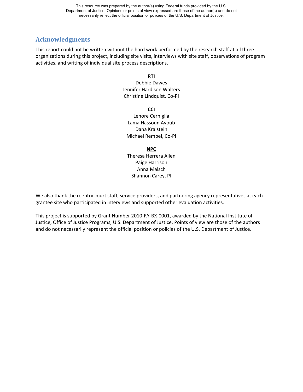## **Acknowledgments**

This report could not be written without the hard work performed by the research staff at all three organizations during this project, including site visits, interviews with site staff, observations of program activities, and writing of individual site process descriptions.

#### **RTI**

Debbie Dawes Jennifer Hardison Walters Christine Lindquist, Co-PI

**CCI**

Lenore Cerniglia Lama Hassoun Ayoub Dana Kralstein Michael Rempel, Co-PI

#### **NPC**

Theresa Herrera Allen Paige Harrison Anna Malsch Shannon Carey, PI

We also thank the reentry court staff, service providers, and partnering agency representatives at each grantee site who participated in interviews and supported other evaluation activities.

This project is supported by Grant Number 2010-RY-BX-0001, awarded by the National Institute of Justice, Office of Justice Programs, U.S. Department of Justice. Points of view are those of the authors and do not necessarily represent the official position or policies of the U.S. Department of Justice.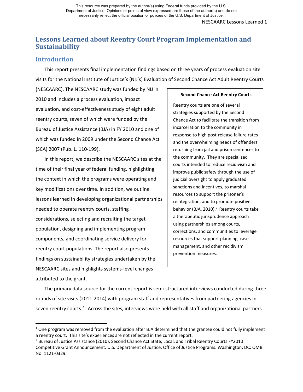NESCAARC Lessons Learned 1

# **Lessons Learned about Reentry Court Program Implementation and Sustainability**

### **Introduction**

l

This report presents final implementation findings based on three years of process evaluation site visits for the National Institute of Justice's (NIJ's) Evaluation of Second Chance Act Adult Reentry Courts

(NESCAARC). The NESCAARC study was funded by NIJ in 2010 and includes a process evaluation, impact evaluation, and cost-effectiveness study of eight adult reentry courts, seven of which were funded by the Bureau of Justice Assistance (BJA) in FY 2010 and one of which was funded in 2009 under the Second Chance Act (SCA) 2007 (Pub. L. 110-199).

In this report, we describe the NESCAARC sites at the time of their final year of federal funding, highlighting the context in which the programs were operating and key modifications over time. In addition, we outline lessons learned in developing organizational partnerships needed to operate reentry courts, staffing considerations, selecting and recruiting the target population, designing and implementing program components, and coordinating service delivery for reentry court populations. The report also presents findings on sustainability strategies undertaken by the NESCAARC sites and highlights systems-level changes attributed to the grant.

#### **Second Chance Act Reentry Courts**

Reentry courts are one of several strategies supported by the Second Chance Act to facilitate the transition from incarceration to the community in response to high post-release failure rates and the overwhelming needs of offenders returning from jail and prison sentences to the community. They are specialized courts intended to reduce recidivism and improve public safety through the use of judicial oversight to apply graduated sanctions and incentives, to marshal resources to support the prisoner's reintegration, and to promote positive behavior (BJA, 2010).<sup>2</sup> Reentry courts take a therapeutic jurisprudence approach using partnerships among courts, corrections, and communities to leverage resources that support planning, case management, and other recidivism prevention measures.

The primary data source for the current report is semi-structured interviews conducted during three rounds of site visits (2011-2014) with program staff and representatives from partnering agencies in seven reentry courts.<sup>[1](#page-3-0)</sup> Across the sites, interviews were held with all staff and organizational partners

<span id="page-3-0"></span> $1$  One program was removed from the evaluation after BJA determined that the grantee could not fully implement a reentry court. This site's experiences are not reflected in the current report.

<span id="page-3-1"></span><sup>&</sup>lt;sup>2</sup> Bureau of Justice Assistance (2010). Second Chance Act State, Local, and Tribal Reentry Courts FY2010 Competitive Grant Announcement. U.S. Department of Justice, Office of Justice Programs. Washington, DC: OMB No. 1121-0329.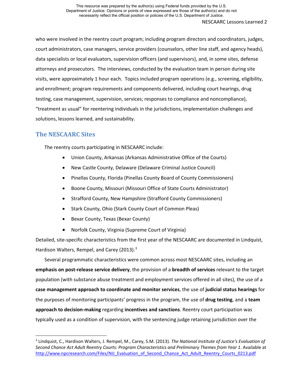who were involved in the reentry court program; including program directors and coordinators, judges, court administrators, case managers, service providers (counselors, other line staff, and agency heads), data specialists or local evaluators, supervision officers (and supervisors), and, in some sites, defense attorneys and prosecutors. The interviews, conducted by the evaluation team in person during site visits, were approximately 1 hour each. Topics included program operations (e.g., screening, eligibility, and enrollment; program requirements and components delivered, including court hearings, drug testing, case management, supervision, services; responses to compliance and noncompliance), "treatment as usual" for reentering individuals in the jurisdictions, implementation challenges and solutions, lessons learned, and sustainability.

## **The NESCAARC Sites**

 $\overline{\phantom{a}}$ 

The reentry courts participating in NESCAARC include:

- Union County, Arkansas (Arkansas Administrative Office of the Courts)
- New Castle County, Delaware (Delaware Criminal Justice Council)
- Pinellas County, Florida (Pinellas County Board of County Commissioners)
- Boone County, Missouri (Missouri Office of State Courts Administrator)
- Strafford County, New Hampshire (Strafford County Commissioners)
- Stark County, Ohio (Stark County Court of Common Pleas)
- Bexar County, Texas (Bexar County)
- Norfolk County, Virginia (Supreme Court of Virginia)

Detailed, site-specific characteristics from the first year of the NESCAARC are documented in Lindquist, Hardison Walters, Rempel, and Carey (201[3](#page-4-0)).<sup>3</sup>

Several programmatic characteristics were common across most NESCAARC sites, including an **emphasis on post-release service delivery**, the provision of a **breadth of services** relevant to the target population (with substance abuse treatment and employment services offered in all sites), the use of a **case management approach to coordinate and monitor services**, the use of **judicial status hearings** for the purposes of monitoring participants' progress in the program, the use of **drug testing**, and a **team approach to decision-making** regarding **incentives and sanctions**. Reentry court participation was typically used as a condition of supervision, with the sentencing judge retaining jurisdiction over the

<span id="page-4-0"></span><sup>3</sup> Lindquist, C., Hardison Walters, J. Rempel, M., Carey, S.M. (2013). *The National Institute of Justice's Evaluation of Second Chance Act Adult Reentry Courts: Program Characteristics and Preliminary Themes from Year 1*. Available at [http://www.npcresearch.com/Files/NIJ\\_Evaluation\\_of\\_Second\\_Chance\\_Act\\_Adult\\_Reentry\\_Courts\\_0213.pdf](http://www.npcresearch.com/Files/NIJ_Evaluation_of_Second_Chance_Act_Adult_Reentry_Courts_0213.pdf)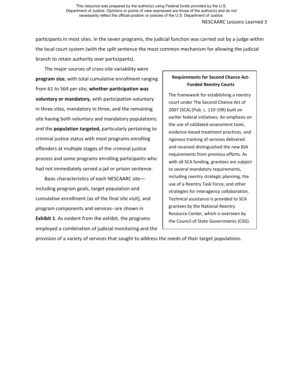participants in most sites. In the seven programs, the judicial function was carried out by a judge within the local court system (with the split sentence the most common mechanism for allowing the judicial branch to retain authority over participants).

The major sources of cross-site variability were **program size**, with total cumulative enrollment ranging from 61 to 564 per site; **whether participation was voluntary or mandatory,** with participation voluntary in three sites, mandatory in three, and the remaining site having both voluntary and mandatory populations; and the **population targeted,** particularly pertaining to criminal justice status with most programs enrolling offenders at multiple stages of the criminal justice process and some programs enrolling participants who had not immediately served a jail or prison sentence.

Basic characteristics of each NESCAARC site including program goals, target population and cumulative enrollment (as of the final site visit), and program components and services--are shown in **Exhibit 1**. As evident from the exhibit, the programs employed a combination of judicial monitoring and the

### **Requirements for Second Chance Act-Funded Reentry Courts**

The framework for establishing a reentry court under The Second Chance Act of 2007 (SCA) (Pub. L. 110-199) built on earlier federal initiatives. An emphasis on the use of validated assessment tools, evidence-based treatment practices, and rigorous tracking of services delivered and received distinguished the new BJA requirements from previous efforts*.* As with all SCA funding, grantees are subject to several mandatory requirements, including reentry strategic planning, the use of a Reentry Task Force, and other strategies for interagency collaboration. Technical assistance is provided to SCA grantees by the National Reentry Resource Center, which is overseen by the Council of State Governments (CSG).

provision of a variety of services that sought to address the needs of their target populations.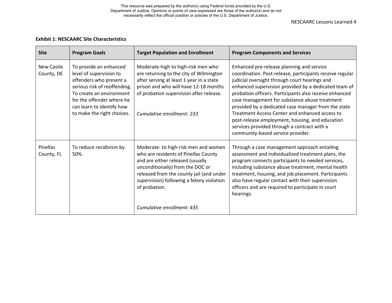NESCAARC Lessons Learned 4

#### **Exhibit 1: NESCAARC Site Characteristics**

| <b>Site</b>              | <b>Program Goals</b>                                                                                                                                                                                                             | <b>Target Population and Enrollment</b>                                                                                                                                                                                                                       | <b>Program Components and Services</b>                                                                                                                                                                                                                                                                                                                                                                                                                                                                                                                                    |
|--------------------------|----------------------------------------------------------------------------------------------------------------------------------------------------------------------------------------------------------------------------------|---------------------------------------------------------------------------------------------------------------------------------------------------------------------------------------------------------------------------------------------------------------|---------------------------------------------------------------------------------------------------------------------------------------------------------------------------------------------------------------------------------------------------------------------------------------------------------------------------------------------------------------------------------------------------------------------------------------------------------------------------------------------------------------------------------------------------------------------------|
| New Castle<br>County, DE | To provide an enhanced<br>level of supervision to<br>offenders who present a<br>serious risk of reoffending.<br>To create an environment<br>for the offender where he<br>can learn to identify how<br>to make the right choices. | Moderate-high to high-risk men who<br>are returning to the city of Wilmington<br>after serving at least 1 year in a state<br>prison and who will have 12-18 months<br>of probation supervision after release.<br>Cumulative enrollment: 233                   | Enhanced pre-release planning and service<br>coordination. Post-release, participants receive regular<br>judicial oversight through court hearings and<br>enhanced supervision provided by a dedicated team of<br>probation officers. Participants also receive enhanced<br>case management for substance abuse treatment<br>provided by a dedicated case manager from the state<br>Treatment Access Center and enhanced access to<br>post-release employment, housing, and education<br>services provided through a contract with a<br>community-based service provider. |
| Pinellas<br>County, FL   | To reduce recidivism by<br>50%.                                                                                                                                                                                                  | Moderate-to high-risk men and women<br>who are residents of Pinellas County<br>and are either released (usually<br>unconditionally) from the DOC or<br>released from the county jail (and under<br>supervision) following a felony violation<br>of probation. | Through a case management approach entailing<br>assessment and individualized treatment plans, the<br>program connects participants to needed services,<br>including substance abuse treatment, mental health<br>treatment, housing, and job placement. Participants<br>also have regular contact with their supervision<br>officers and are required to participate in court<br>hearings.                                                                                                                                                                                |
|                          |                                                                                                                                                                                                                                  | Cumulative enrollment: 435                                                                                                                                                                                                                                    |                                                                                                                                                                                                                                                                                                                                                                                                                                                                                                                                                                           |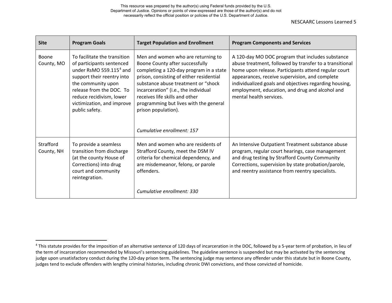<span id="page-7-0"></span>NESCAARC Lessons Learned 5

| <b>Site</b>             | <b>Program Goals</b>                                                                                                                                                                                                                                         | <b>Target Population and Enrollment</b>                                                                                                                                                                                                                                                                                                        | <b>Program Components and Services</b>                                                                                                                                                                                                                                                                                                                        |
|-------------------------|--------------------------------------------------------------------------------------------------------------------------------------------------------------------------------------------------------------------------------------------------------------|------------------------------------------------------------------------------------------------------------------------------------------------------------------------------------------------------------------------------------------------------------------------------------------------------------------------------------------------|---------------------------------------------------------------------------------------------------------------------------------------------------------------------------------------------------------------------------------------------------------------------------------------------------------------------------------------------------------------|
| Boone<br>County, MO     | To facilitate the transition<br>of participants sentenced<br>under RsMO 559.115 <sup>4</sup> and<br>support their reentry into<br>the community upon<br>release from the DOC. To<br>reduce recidivism, lower<br>victimization, and improve<br>public safety. | Men and women who are returning to<br>Boone County after successfully<br>completing a 120-day program in a state<br>prison, consisting of either residential<br>substance abuse treatment or "shock<br>incarceration" (i.e., the individual<br>receives life skills and other<br>programming but lives with the general<br>prison population). | A 120-day MO DOC program that includes substance<br>abuse treatment, followed by transfer to a transitional<br>home upon release. Participants attend regular court<br>appearances, receive supervision, and complete<br>individualized goals and objectives regarding housing,<br>employment, education, and drug and alcohol and<br>mental health services. |
|                         |                                                                                                                                                                                                                                                              | Cumulative enrollment: 157                                                                                                                                                                                                                                                                                                                     |                                                                                                                                                                                                                                                                                                                                                               |
| Strafford<br>County, NH | To provide a seamless<br>transition from discharge<br>(at the county House of<br>Corrections) into drug<br>court and community<br>reintegration.                                                                                                             | Men and women who are residents of<br>Strafford County, meet the DSM IV<br>criteria for chemical dependency, and<br>are misdemeanor, felony, or parole<br>offenders.                                                                                                                                                                           | An Intensive Outpatient Treatment substance abuse<br>program, regular court hearings, case management<br>and drug testing by Strafford County Community<br>Corrections, supervision by state probation/parole,<br>and reentry assistance from reentry specialists.                                                                                            |
|                         |                                                                                                                                                                                                                                                              | Cumulative enrollment: 330                                                                                                                                                                                                                                                                                                                     |                                                                                                                                                                                                                                                                                                                                                               |

 $\overline{a}$ 

<sup>&</sup>lt;sup>4</sup> This statute provides for the imposition of an alternative sentence of 120 days of incarceration in the DOC, followed by a 5-year term of probation, in lieu of the term of incarceration recommended by Missouri's sentencing guidelines. The guideline sentence is suspended but may be activated by the sentencing judge upon unsatisfactory conduct during the 120-day prison term. The sentencing judge may sentence any offender under this statute but in Boone County, judges tend to exclude offenders with lengthy criminal histories, including chronic DWI convictions, and those convicted of homicide.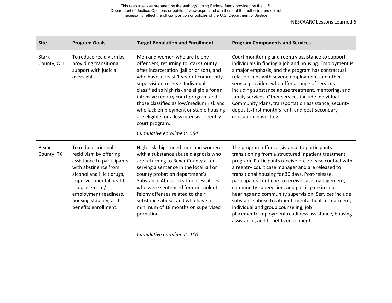NESCAARC Lessons Learned 6

| <b>Site</b>                | <b>Program Goals</b>                                                                                                                                                                                                                                     | <b>Target Population and Enrollment</b>                                                                                                                                                                                                                                                                                                                                                                                                                                | <b>Program Components and Services</b>                                                                                                                                                                                                                                                                                                                                                                                                                                                                                                                                                                                             |
|----------------------------|----------------------------------------------------------------------------------------------------------------------------------------------------------------------------------------------------------------------------------------------------------|------------------------------------------------------------------------------------------------------------------------------------------------------------------------------------------------------------------------------------------------------------------------------------------------------------------------------------------------------------------------------------------------------------------------------------------------------------------------|------------------------------------------------------------------------------------------------------------------------------------------------------------------------------------------------------------------------------------------------------------------------------------------------------------------------------------------------------------------------------------------------------------------------------------------------------------------------------------------------------------------------------------------------------------------------------------------------------------------------------------|
| <b>Stark</b><br>County, OH | To reduce recidivism by<br>providing transitional<br>support with judicial<br>oversight.                                                                                                                                                                 | Men and women who are felony<br>offenders, returning to Stark County<br>after incarceration (jail or prison), and<br>who have at least 1 year of community<br>supervision to serve. Individuals<br>classified as high risk are eligible for an<br>intensive reentry court program and<br>those classified as low/medium risk and<br>who lack employment or stable housing<br>are eligible for a less intensive reentry<br>court program.<br>Cumulative enrollment: 564 | Court monitoring and reentry assistance to support<br>individuals in finding a job and housing. Employment is<br>a major emphasis, and the program has contractual<br>relationships with several employment and other<br>service providers who offer a range of services<br>including substance abuse treatment, mentoring, and<br>family services. Other services include Individual<br>Community Plans, transportation assistance, security<br>deposits/first month's rent, and post-secondary<br>education in welding.                                                                                                          |
| Bexar<br>County, TX        | To reduce criminal<br>recidivism by offering<br>assistance to participants<br>with abstinence from<br>alcohol and illicit drugs,<br>improved mental health,<br>job placement/<br>employment readiness,<br>housing stability, and<br>benefits enrollment. | High-risk, high-need men and women<br>with a substance abuse diagnosis who<br>are returning to Bexar County after<br>serving a sentence in the local jail or<br>county probation department's<br>Substance Abuse Treatment Facilities,<br>who were sentenced for non-violent<br>felony offenses related to their<br>substance abuse, and who have a<br>minimum of 18 months on supervised<br>probation.                                                                | The program offers assistance to participants<br>transitioning from a structured inpatient treatment<br>program. Participants receive pre-release contact with<br>a reentry court case manager and are released to<br>transitional housing for 30 days. Post-release,<br>participants continue to receive case management,<br>community supervision, and participate in court<br>hearings and community supervision. Services include<br>substance abuse treatment, mental health treatment,<br>individual and group counseling, job<br>placement/employment readiness assistance, housing<br>assistance, and benefits enrollment. |
|                            |                                                                                                                                                                                                                                                          | Cumulative enrollment: 110                                                                                                                                                                                                                                                                                                                                                                                                                                             |                                                                                                                                                                                                                                                                                                                                                                                                                                                                                                                                                                                                                                    |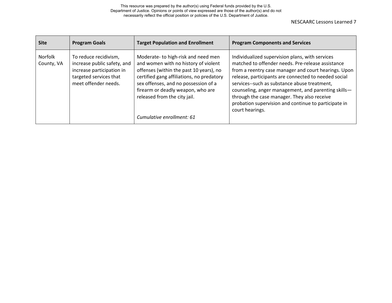| <b>Site</b>           | <b>Program Goals</b>                                                                                                                | <b>Target Population and Enrollment</b>                                                                                                                                                                                                                                                                      | <b>Program Components and Services</b>                                                                                                                                                                                                                                                                                                                                                                                                                |
|-----------------------|-------------------------------------------------------------------------------------------------------------------------------------|--------------------------------------------------------------------------------------------------------------------------------------------------------------------------------------------------------------------------------------------------------------------------------------------------------------|-------------------------------------------------------------------------------------------------------------------------------------------------------------------------------------------------------------------------------------------------------------------------------------------------------------------------------------------------------------------------------------------------------------------------------------------------------|
| Norfolk<br>County, VA | To reduce recidivism,<br>increase public safety, and<br>increase participation in<br>targeted services that<br>meet offender needs. | Moderate-to high-risk and need men<br>and women with no history of violent<br>offenses (within the past 10 years), no<br>certified gang affiliations, no predatory<br>sex offenses, and no possession of a<br>firearm or deadly weapon, who are<br>released from the city jail.<br>Cumulative enrollment: 61 | Individualized supervision plans, with services<br>matched to offender needs. Pre-release assistance<br>from a reentry case manager and court hearings. Upon<br>release, participants are connected to needed social<br>services--such as substance abuse treatment,<br>counseling, anger management, and parenting skills-<br>through the case manager. They also receive<br>probation supervision and continue to participate in<br>court hearings. |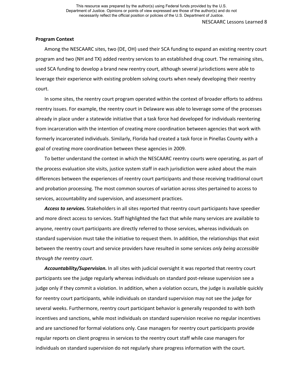#### **Program Context**

Among the NESCAARC sites, two (DE, OH) used their SCA funding to expand an existing reentry court program and two (NH and TX) added reentry services to an established drug court. The remaining sites, used SCA funding to develop a brand new reentry court, although several jurisdictions were able to leverage their experience with existing problem solving courts when newly developing their reentry court.

In some sites, the reentry court program operated within the context of broader efforts to address reentry issues. For example, the reentry court in Delaware was able to leverage some of the processes already in place under a statewide initiative that a task force had developed for individuals reentering from incarceration with the intention of creating more coordination between agencies that work with formerly incarcerated individuals. Similarly, Florida had created a task force in Pinellas County with a goal of creating more coordination between these agencies in 2009.

To better understand the context in which the NESCAARC reentry courts were operating, as part of the process evaluation site visits, justice system staff in each jurisdiction were asked about the main differences between the experiences of reentry court participants and those receiving traditional court and probation processing. The most common sources of variation across sites pertained to access to services, accountability and supervision, and assessment practices.

*Access to services.* Stakeholders in all sites reported that reentry court participants have speedier and more direct access to services. Staff highlighted the fact that while many services are available to anyone, reentry court participants are directly referred to those services, whereas individuals on standard supervision must take the initiative to request them. In addition, the relationships that exist between the reentry court and service providers have resulted in some services *only being accessible through the reentry court*.

*Accountability/Supervision.* In all sites with judicial oversight it was reported that reentry court participants see the judge regularly whereas individuals on standard post-release supervision see a judge only if they commit a violation. In addition, when a violation occurs, the judge is available quickly for reentry court participants, while individuals on standard supervision may not see the judge for several weeks. Furthermore, reentry court participant behavior is generally responded to with both incentives and sanctions, while most individuals on standard supervision receive no regular incentives and are sanctioned for formal violations only. Case managers for reentry court participants provide regular reports on client progress in services to the reentry court staff while case managers for individuals on standard supervision do not regularly share progress information with the court.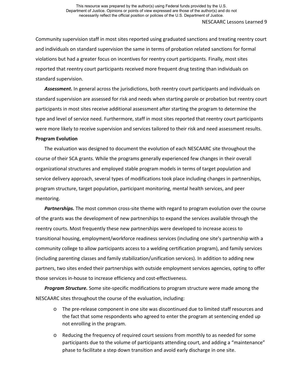Community supervision staff in most sites reported using graduated sanctions and treating reentry court and individuals on standard supervision the same in terms of probation related sanctions for formal violations but had a greater focus on incentives for reentry court participants. Finally, most sites reported that reentry court participants received more frequent drug testing than individuals on standard supervision.

*Assessment***.** In general across the jurisdictions, both reentry court participants and individuals on standard supervision are assessed for risk and needs when starting parole or probation but reentry court participants in most sites receive additional assessment after starting the program to determine the type and level of service need. Furthermore, staff in most sites reported that reentry court participants were more likely to receive supervision and services tailored to their risk and need assessment results.

#### **Program Evolution**

The evaluation was designed to document the evolution of each NESCAARC site throughout the course of their SCA grants. While the programs generally experienced few changes in their overall organizational structures and employed stable program models in terms of target population and service delivery approach, several types of modifications took place including changes in partnerships, program structure, target population, participant monitoring, mental health services, and peer mentoring.

*Partnerships.* The most common cross-site theme with regard to program evolution over the course of the grants was the development of new partnerships to expand the services available through the reentry courts. Most frequently these new partnerships were developed to increase access to transitional housing, employment/workforce readiness services (including one site's partnership with a community college to allow participants access to a welding certification program), and family services (including parenting classes and family stabilization/unification services). In addition to adding new partners, two sites ended their partnerships with outside employment services agencies, opting to offer those services in-house to increase efficiency and cost-effectiveness.

*Program Structure.* Some site-specific modifications to program structure were made among the NESCAARC sites throughout the course of the evaluation, including:

- o The pre-release component in one site was discontinued due to limited staff resources and the fact that some respondents who agreed to enter the program at sentencing ended up not enrolling in the program.
- o Reducing the frequency of required court sessions from monthly to as needed for some participants due to the volume of participants attending court, and adding a "maintenance" phase to facilitate a step down transition and avoid early discharge in one site.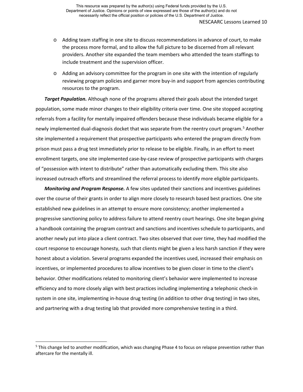- o Adding team staffing in one site to discuss recommendations in advance of court, to make the process more formal, and to allow the full picture to be discerned from all relevant providers. Another site expanded the team members who attended the team staffings to include treatment and the supervision officer.
- o Adding an advisory committee for the program in one site with the intention of regularly reviewing program policies and garner more buy-in and support from agencies contributing resources to the program.

*Target Population.* Although none of the programs altered their goals about the intended target population, some made minor changes to their eligibility criteria over time. One site stopped accepting referrals from a facility for mentally impaired offenders because these individuals became eligible for a newly implemented dual-diagnosis docket that was separate from the reentry court program.<sup>[5](#page-12-0)</sup> Another site implemented a requirement that prospective participants who entered the program directly from prison must pass a drug test immediately prior to release to be eligible. Finally, in an effort to meet enrollment targets, one site implemented case-by-case review of prospective participants with charges of "possession with intent to distribute" rather than automatically excluding them. This site also increased outreach efforts and streamlined the referral process to identify more eligible participants.

*Monitoring and Program Response.* A few sites updated their sanctions and incentives guidelines over the course of their grants in order to align more closely to research based best practices. One site established new guidelines in an attempt to ensure more consistency; another implemented a progressive sanctioning policy to address failure to attend reentry court hearings. One site began giving a handbook containing the program contract and sanctions and incentives schedule to participants, and another newly put into place a client contract. Two sites observed that over time, they had modified the court response to encourage honesty, such that clients might be given a less harsh sanction if they were honest about a violation. Several programs expanded the incentives used, increased their emphasis on incentives, or implemented procedures to allow incentives to be given closer in time to the client's behavior. Other modifications related to monitoring client's behavior were implemented to increase efficiency and to more closely align with best practices including implementing a telephonic check-in system in one site, implementing in-house drug testing (in addition to other drug testing) in two sites, and partnering with a drug testing lab that provided more comprehensive testing in a third.

 $\overline{a}$ 

<span id="page-12-0"></span><sup>&</sup>lt;sup>5</sup> This change led to another modification, which was changing Phase 4 to focus on relapse prevention rather than aftercare for the mentally ill.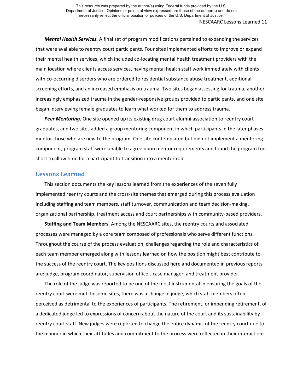*Mental Health Services.* A final set of program modifications pertained to expanding the services that were available to reentry court participants. Four sites implemented efforts to improve or expand their mental health services, which included co-locating mental health treatment providers with the main location where clients access services, having mental health staff work immediately with clients with co-occurring disorders who are ordered to residential substance abuse treatment, additional screening efforts, and an increased emphasis on trauma. Two sites began assessing for trauma, another increasingly emphasized trauma in the gender-responsive groups provided to participants, and one site began interviewing female graduates to learn what worked for them to address trauma.

*Peer Mentoring.* One site opened up its existing drug court alumni association to reentry court graduates, and two sites added a group mentoring component in which participants in the later phases mentor those who are new to the program. One site contemplated but did not implement a mentoring component; program staff were unable to agree upon mentor requirements and found the program too short to allow time for a participant to transition into a mentor role.

#### **Lessons Learned**

This section documents the key lessons learned from the experiences of the seven fully implemented reentry courts and the cross-site themes that emerged during this process evaluation including staffing and team members, staff turnover, communication and team decision-making, organizational partnership, treatment access and court partnerships with community-based providers.

**Staffing and Team Members.** Among the NESCAARC sites, the reentry courts and associated processes were managed by a core team composed of professionals who serve different functions. Throughout the course of the process evaluation, challenges regarding the role and characteristics of each team member emerged along with lessons learned on how the position might best contribute to the success of the reentry court. The key positions discussed here and documented in previous reports are: judge, program coordinator, supervision officer, case manager, and treatment provider.

The role of the judge was reported to be one of the most instrumental in ensuring the goals of the reentry court were met. In some sites, there was a change in judge, which staff members often perceived as detrimental to the experiences of participants. The retirement, or impending retirement, of a dedicated judge led to expressions of concern about the nature of the court and its sustainability by reentry court staff. New judges were reported to change the entire dynamic of the reentry court due to the manner in which their attitudes and commitment to the process were reflected in their interactions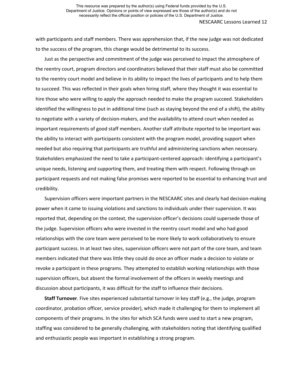NESCAARC Lessons Learned 12

with participants and staff members. There was apprehension that, if the new judge was not dedicated to the success of the program, this change would be detrimental to its success.

Just as the perspective and commitment of the judge was perceived to impact the atmosphere of the reentry court, program directors and coordinators believed that their staff must also be committed to the reentry court model and believe in its ability to impact the lives of participants and to help them to succeed. This was reflected in their goals when hiring staff, where they thought it was essential to hire those who were willing to apply the approach needed to make the program succeed. Stakeholders identified the willingness to put in additional time (such as staying beyond the end of a shift), the ability to negotiate with a variety of decision-makers, and the availability to attend court when needed as important requirements of good staff members. Another staff attribute reported to be important was the ability to interact with participants consistent with the program model, providing support when needed but also requiring that participants are truthful and administering sanctions when necessary. Stakeholders emphasized the need to take a participant-centered approach: identifying a participant's unique needs, listening and supporting them, and treating them with respect. Following through on participant requests and not making false promises were reported to be essential to enhancing trust and credibility.

Supervision officers were important partners in the NESCAARC sites and clearly had decision-making power when it came to issuing violations and sanctions to individuals under their supervision. It was reported that, depending on the context, the supervision officer's decisions could supersede those of the judge. Supervision officers who were invested in the reentry court model and who had good relationships with the core team were perceived to be more likely to work collaboratively to ensure participant success. In at least two sites, supervision officers were not part of the core team, and team members indicated that there was little they could do once an officer made a decision to violate or revoke a participant in these programs. They attempted to establish working relationships with those supervision officers, but absent the formal involvement of the officers in weekly meetings and discussion about participants, it was difficult for the staff to influence their decisions.

**Staff Turnover***.* Five sites experienced substantial turnover in key staff (e.g., the judge, program coordinator, probation officer, service provider), which made it challenging for them to implement all components of their programs. In the sites for which SCA funds were used to start a new program, staffing was considered to be generally challenging, with stakeholders noting that identifying qualified and enthusiastic people was important in establishing a strong program.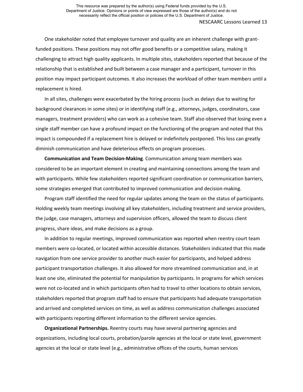One stakeholder noted that employee turnover and quality are an inherent challenge with grantfunded positions. These positions may not offer good benefits or a competitive salary, making it challenging to attract high quality applicants. In multiple sites, stakeholders reported that because of the relationship that is established and built between a case manager and a participant, turnover in this position may impact participant outcomes. It also increases the workload of other team members until a replacement is hired.

In all sites, challenges were exacerbated by the hiring process (such as delays due to waiting for background clearances in some sites) or in identifying staff (e.g., attorneys, judges, coordinators, case managers, treatment providers) who can work as a cohesive team. Staff also observed that losing even a single staff member can have a profound impact on the functioning of the program and noted that this impact is compounded if a replacement hire is delayed or indefinitely postponed. This loss can greatly diminish communication and have deleterious effects on program processes.

**Communication and Team Decision-Making***.* Communication among team members was considered to be an important element in creating and maintaining connections among the team and with participants. While few stakeholders reported significant coordination or communication barriers, some strategies emerged that contributed to improved communication and decision-making.

Program staff identified the need for regular updates among the team on the status of participants. Holding weekly team meetings involving all key stakeholders, including treatment and service providers, the judge, case managers, attorneys and supervision officers, allowed the team to discuss client progress, share ideas, and make decisions as a group.

In addition to regular meetings, improved communication was reported when reentry court team members were co-located, or located within accessible distances. Stakeholders indicated that this made navigation from one service provider to another much easier for participants, and helped address participant transportation challenges. It also allowed for more streamlined communication and, in at least one site, eliminated the potential for manipulation by participants. In programs for which services were not co-located and in which participants often had to travel to other locations to obtain services, stakeholders reported that program staff had to ensure that participants had adequate transportation and arrived and completed services on time, as well as address communication challenges associated with participants reporting different information to the different service agencies.

**Organizational Partnerships.** Reentry courts may have several partnering agencies and organizations, including local courts, probation/parole agencies at the local or state level, government agencies at the local or state level (e.g., administrative offices of the courts, human services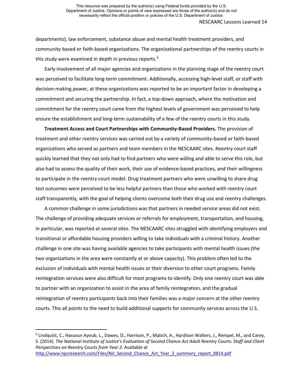departments), law enforcement, substance abuse and mental health treatment providers, and community-based or faith-based organizations. The organizational partnerships of the reentry courts in this study were examined in depth in previous reports.<sup>[6](#page-16-0)</sup>

Early involvement of all major agencies and organizations in the planning stage of the reentry court was perceived to facilitate long-term commitment. Additionally, accessing high-level staff, or staff with decision-making power, at these organizations was reported to be an important factor in developing a commitment and securing the partnership. In fact, a top-down approach, where the motivation and commitment for the reentry court came from the highest levels of government was perceived to help ensure the establishment and long-term sustainability of a few of the reentry courts in this study.

**Treatment Access and Court Partnerships with Community-Based Providers***.* The provision of treatment and other reentry services was carried out by a variety of community-based or faith-based organizations who served as partners and team members in the NESCAARC sites. Reentry court staff quickly learned that they not only had to find partners who were willing and able to serve this role, but also had to assess the quality of their work, their use of evidence-based practices, and their willingness to participate in the reentry court model. Drug treatment partners who were unwilling to share drug test outcomes were perceived to be less helpful partners than those who worked with reentry court staff transparently, with the goal of helping clients overcome both their drug use and reentry challenges.

A common challenge in some jurisdictions was that partners in needed service areas did not exist. The challenge of providing adequate services or referrals for employment, transportation, and housing, in particular, was reported at several sites. The NESCAARC sites struggled with identifying employers and transitional or affordable housing providers willing to take individuals with a criminal history. Another challenge in one site was having available agencies to take participants with mental health issues (the two organizations in the area were constantly at or above capacity). This problem often led to the exclusion of individuals with mental health issues or their diversion to other court programs. Family reintegration services were also difficult for most programs to identify. Only one reentry court was able to partner with an organization to assist in the area of family reintegration, and the gradual reintegration of reentry participants back into their families was a major concern at the other reentry courts. This all points to the need to build additional supports for community services across the U.S.

 $\overline{a}$ 

<span id="page-16-0"></span><sup>6</sup> Lindquist, C., Hassoun Ayoub, L., Dawes, D., Harrison, P., Malsch, A., Hardison Walters, J., Rempel, M., and Carey, S. (2014). *The National Institute of Justice's Evaluation of Second Chance Act Adult Reentry Courts: Staff and Client Perspectives on Reentry Courts from Year 2.* Available at [http://www.npcresearch.com/Files/NIJ\\_Second\\_Chance\\_Act\\_Year\\_2\\_summary\\_report\\_0814.pdf](http://www.npcresearch.com/Files/NIJ_Second_Chance_Act_Year_2_summary_report_0814.pdf)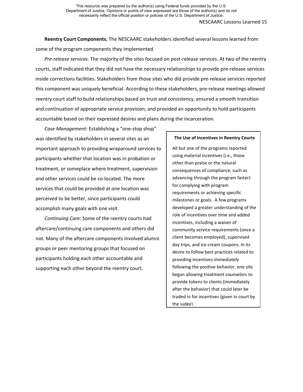**Reentry Court Components.** The NESCAARC stakeholders identified several lessons learned from some of the program components they implemented.

*Pre-release services.* The majority of the sites focused on post-release services. At two of the reentry courts, staff indicated that they did not have the necessary relationships to provide pre-release services inside corrections facilities. Stakeholders from those sites who did provide pre-release services reported this component was uniquely beneficial. According to these stakeholders, pre-release meetings allowed reentry court staff to build relationships based on trust and consistency, ensured a smooth transition and continuation of appropriate service provision, and provided an opportunity to hold participants accountable based on their expressed desires and plans during the incarceration.

*Case Management:* Establishing a "one-stop shop" was identified by stakeholders in several sites as an important approach to providing wraparound services to participants whether that location was in probation or treatment, or someplace where treatment, supervision and other services could be co-located. The more services that could be provided at one location was perceived to be better, since participants could accomplish many goals with one visit.

*Continuing Care:* Some of the reentry courts had aftercare/continuing care components and others did not. Many of the aftercare components involved alumni groups or peer mentoring groups that focused on participants holding each other accountable and supporting each other beyond the reentry court.

#### **The Use of Incentives in Reentry Courts**

All but one of the programs reported using material incentives (i.e., those other than praise or the natural consequences of compliance, such as advancing through the program faster) for complying with program requirements or achieving specific milestones or goals. A few programs developed a greater understanding of the role of incentives over time and added incentives, including a waiver of community service requirements (once a client becomes employed), supervised day trips, and ice cream coupons. In its desire to follow best practices related to providing incentives immediately following the positive behavior, one site began allowing treatment counselors to provide tokens to clients (immediately after the behavior) that could later be traded in for incentives (given in court by the judge).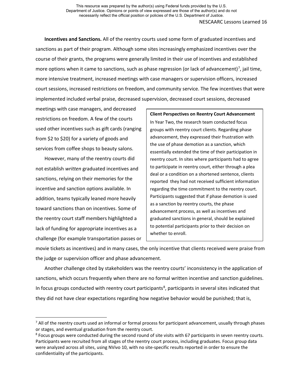**Incentives and Sanctions.** All of the reentry courts used some form of graduated incentives and sanctions as part of their program. Although some sites increasingly emphasized incentives over the course of their grants, the programs were generally limited in their use of incentives and established more options when it came to sanctions, such as phase regression (or lack of advancement)<sup>[7](#page-18-0)</sup>, jail time, more intensive treatment, increased meetings with case managers or supervision officers, increased court sessions, increased restrictions on freedom, and community service. The few incentives that were implemented included verbal praise, decreased supervision, decreased court sessions, decreased

meetings with case managers, and decreased restrictions on freedom. A few of the courts used other incentives such as gift cards (ranging from \$2 to \$20) for a variety of goods and services from coffee shops to beauty salons.

However, many of the reentry courts did not establish *written* graduated incentives and sanctions, relying on their memories for the incentive and sanction options available. In addition, teams typically leaned more heavily toward sanctions than on incentives. Some of the reentry court staff members highlighted a lack of funding for appropriate incentives as a challenge (for example transportation passes or **Client Perspectives on Reentry Court Advancement** In Year Two, the research team conducted focus groups with reentry court clients. Regarding phase advancement, they expressed their frustration with the use of phase demotion as a sanction, which essentially extended the time of their participation in reentry court. In sites where participants had to agree to participate in reentry court, either through a plea deal or a condition on a shortened sentence, clients reported they had not received sufficient information regarding the time commitment to the reentry court. Participants suggested that if phase demotion is used as a sanction by reentry courts, the phase advancement process, as well as incentives and graduated sanctions in general, should be explained to potential participants prior to their decision on whether to enroll.

movie tickets as incentives) and in many cases, the only incentive that clients received were praise from the judge or supervision officer and phase advancement.

Another challenge cited by stakeholders was the reentry courts' inconsistency in the application of sanctions, which occurs frequently when there are no formal written incentive and sanction guidelines. In focus groups conducted with reentry court participants<sup>[8](#page-18-1)</sup>, participants in several sites indicated that they did not have clear expectations regarding how negative behavior would be punished; that is,

<span id="page-18-0"></span><sup>&</sup>lt;sup>7</sup> All of the reentry courts used an informal or formal process for participant advancement, usually through phases or stages, and eventual graduation from the reentry court.

<span id="page-18-1"></span><sup>&</sup>lt;sup>8</sup> Focus groups were conducted during the second round of site visits with 67 participants in seven reentry courts. Participants were recruited from all stages of the reentry court process, including graduates. Focus group data were analyzed across all sites, using NVivo 10, with no site-specific results reported in order to ensure the confidentiality of the participants.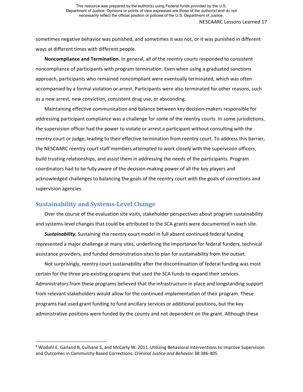sometimes negative behavior was punished, and sometimes it was not, or it was punished in different ways at different times with different people.

**Noncompliance and Termination.** In general, all of the reentry courts responded to consistent noncompliance of participants with program termination. Even when using a graduated sanctions approach, participants who remained noncompliant were eventually terminated, which was often accompanied by a formal violation or arrest. Participants were also terminated for other reasons, such as a new arrest, new conviction, consistent drug use, or absconding.

Maintaining effective communication and balance between key decision-makers responsible for addressing participant compliance was a challenge for some of the reentry courts. In some jurisdictions, the supervision officer had the power to violate or arrest a participant without consulting with the reentry court or judge, leading to their effective termination from reentry court. To address this barrier, the NESCAARC reentry court staff members attempted to work closely with the supervision officers, build trusting relationships, and assist them in addressing the needs of the participants. Program coordinators had to be fully aware of the decision-making power of all the key players and acknowledged challenges to balancing the goals of the reentry court with the goals of corrections and supervision agencies.

### **Sustainability and Systems-Level Change**

 $\overline{a}$ 

Over the course of the evaluation site visits, stakeholder perspectives about program sustainability and systems-level changes that could be attributed to the SCA grants were documented in each site.

*Sustainability.* Sustaining the reentry court model in full absent continued federal funding represented a major challenge at many sites, underlining the importance for federal funders, technical assistance providers, and funded demonstration sites to plan for sustainability from the outset.

Not surprisingly, reentry court sustainability after the discontinuation of federal funding was most certain for the three pre-existing programs that used the SCA funds to expand their services. Administrators from these programs believed that the infrastructure in place and longstanding support from relevant stakeholders would allow for the continued implementation of their program. These programs had used grant funding to fund ancillary services or additional positions, but the key administrative positions were funded by the county and not dependent on the grant. Although these

<span id="page-19-0"></span><sup>9</sup> Wodahl E, Garland B, Culhane S, and McCarty W. 2011. Utilizing Behavioral Interventions to Improve Supervision and Outcomes in Community-Based Corrections. *Criminal Justice and Behavior* 38:386-405.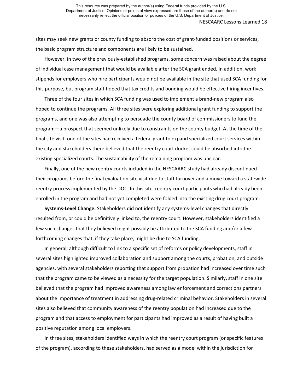sites may seek new grants or county funding to absorb the cost of grant-funded positions or services, the basic program structure and components are likely to be sustained.

However, in two of the previously-established programs, some concern was raised about the degree of individual case management that would be available after the SCA grant ended. In addition, work stipends for employers who hire participants would not be available in the site that used SCA funding for this purpose, but program staff hoped that tax credits and bonding would be effective hiring incentives.

Three of the four sites in which SCA funding was used to implement a brand-new program also hoped to continue the programs. All three sites were exploring additional grant funding to support the programs, and one was also attempting to persuade the county board of commissioners to fund the program—a prospect that seemed unlikely due to constraints on the county budget. At the time of the final site visit, one of the sites had received a federal grant to expand specialized court services within the city and stakeholders there believed that the reentry court docket could be absorbed into the existing specialized courts. The sustainability of the remaining program was unclear.

Finally, one of the new reentry courts included in the NESCAARC study had already discontinued their programs before the final evaluation site visit due to staff turnover and a move toward a statewide reentry process implemented by the DOC. In this site, reentry court participants who had already been enrolled in the program and had not yet completed were folded into the existing drug court program.

**Systems-Level Change.** Stakeholders did not identify any systems-level changes that directly resulted from, or could be definitively linked to, the reentry court. However, stakeholders identified a few such changes that they believed might possibly be attributed to the SCA funding and/or a few forthcoming changes that, if they take place, might be due to SCA funding.

In general, although difficult to link to a specific set of reforms or policy developments, staff in several sites highlighted improved collaboration and support among the courts, probation, and outside agencies, with several stakeholders reporting that support from probation had increased over time such that the program came to be viewed as a necessity for the target population. Similarly, staff in one site believed that the program had improved awareness among law enforcement and corrections partners about the importance of treatment in addressing drug-related criminal behavior. Stakeholders in several sites also believed that community awareness of the reentry population had increased due to the program and that access to employment for participants had improved as a result of having built a positive reputation among local employers.

In three sites, stakeholders identified ways in which the reentry court program (or specific features of the program), according to these stakeholders, had served as a model within the jurisdiction for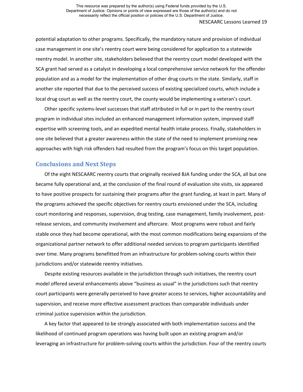potential adaptation to other programs. Specifically, the mandatory nature and provision of individual case management in one site's reentry court were being considered for application to a statewide reentry model. In another site, stakeholders believed that the reentry court model developed with the SCA grant had served as a catalyst in developing a local comprehensive service network for the offender population and as a model for the implementation of other drug courts in the state. Similarly, staff in another site reported that due to the perceived success of existing specialized courts, which include a local drug court as well as the reentry court, the county would be implementing a veteran's court.

Other specific systems-level successes that staff attributed in full or in part to the reentry court program in individual sites included an enhanced management information system, improved staff expertise with screening tools, and an expedited mental health intake process. Finally, stakeholders in one site believed that a greater awareness within the state of the need to implement promising new approaches with high risk offenders had resulted from the program's focus on this target population.

### **Conclusions and Next Steps**

Of the eight NESCAARC reentry courts that originally received BJA funding under the SCA, all but one became fully operational and, at the conclusion of the final round of evaluation site visits, six appeared to have positive prospects for sustaining their programs after the grant funding, at least in part. Many of the programs achieved the specific objectives for reentry courts envisioned under the SCA, including court monitoring and responses, supervision, drug testing, case management, family involvement, postrelease services, and community involvement and aftercare. Most programs were robust and fairly stable once they had become operational, with the most common modifications being expansions of the organizational partner network to offer additional needed services to program participants identified over time. Many programs benefitted from an infrastructure for problem-solving courts within their jurisdictions and/or statewide reentry initiatives.

Despite existing resources available in the jurisdiction through such initiatives, the reentry court model offered several enhancements above "business as usual" in the jurisdictions such that reentry court participants were generally perceived to have greater access to services, higher accountability and supervision, and receive more effective assessment practices than comparable individuals under criminal justice supervision within the jurisdiction.

A key factor that appeared to be strongly associated with both implementation success and the likelihood of continued program operations was having built upon an existing program and/or leveraging an infrastructure for problem-solving courts within the jurisdiction. Four of the reentry courts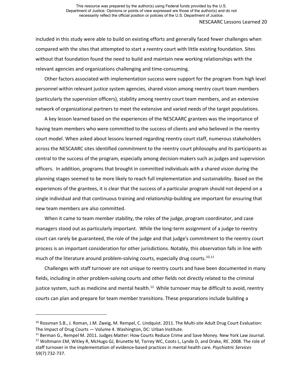NESCAARC Lessons Learned 20

included in this study were able to build on existing efforts and generally faced fewer challenges when compared with the sites that attempted to start a reentry court with little existing foundation. Sites without that foundation found the need to build and maintain new working relationships with the relevant agencies and organizations challenging and time-consuming.

Other factors associated with implementation success were support for the program from high level personnel within relevant justice system agencies, shared vision among reentry court team members (particularly the supervision officers), stability among reentry court team members, and an extensive network of organizational partners to meet the extensive and varied needs of the target populations.

A key lesson learned based on the experiences of the NESCAARC grantees was the importance of having team members who were committed to the success of clients and who believed in the reentry court model. When asked about lessons learned regarding reentry court staff, numerous stakeholders across the NESCAARC sites identified commitment to the reentry court philosophy and its participants as central to the success of the program, especially among decision-makers such as judges and supervision officers. In addition, programs that brought in committed individuals with a shared vision during the planning stages seemed to be more likely to reach full implementation and sustainability. Based on the experiences of the grantees, it is clear that the success of a particular program should not depend on a single individual and that continuous training and relationship-building are important for ensuring that new team members are also committed.

When it came to team member stability, the roles of the judge, program coordinator, and case managers stood out as particularly important. While the long-term assignment of a judge to reentry court can rarely be guaranteed, the role of the judge and that judge's commitment to the reentry court process is an important consideration for other jurisdictions. Notably, this observation falls in line with much of the literature around problem-solving courts, especially drug courts.<sup>[10](#page-22-0),11</sup>

Challenges with staff turnover are not unique to reentry courts and have been documented in many fields, including in other problem-solving courts and other fields not directly related to the criminal justice system, such as medicine and mental health.<sup>[12](#page-22-2)</sup> While turnover may be difficult to avoid, reentry courts can plan and prepare for team member transitions. These preparations include building a

 $\overline{\phantom{a}}$ 

<span id="page-22-0"></span><sup>&</sup>lt;sup>10</sup> Rossman S.B., J. Roman, J.M. Zweig, M. Rempel, C. Lindquist. 2011. The Multi-site Adult Drug Court Evaluation:

<span id="page-22-2"></span><span id="page-22-1"></span>The Impact of Drug Courts — Volume 4. Washington, DC: Urban Institute.<br><sup>11</sup> Berman G., Rempel M. 2011. Judges Matter: How Courts Reduce Crime and Save Money. New York Law Journal.<br><sup>12</sup> Woltmann EM, Witley R, McHugo GJ, Bru staff turnover in the implementation of evidence-based practices in mental health care. *Psychiatric Services* 59(7):732-737.